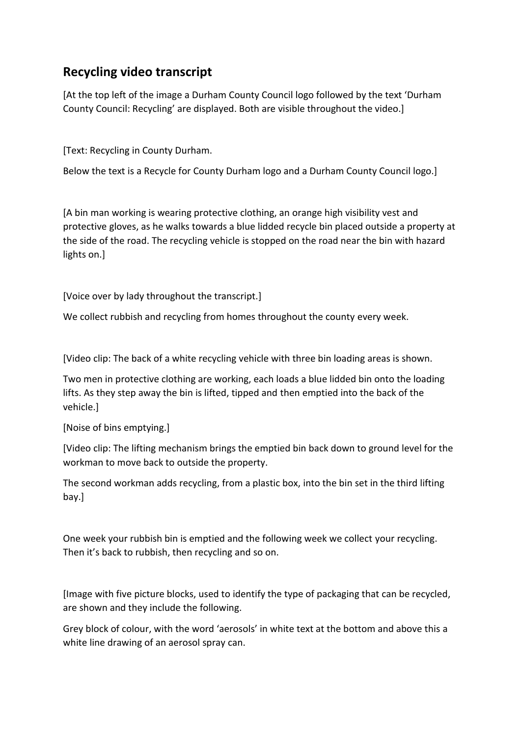## **Recycling video transcript**

[At the top left of the image a Durham County Council logo followed by the text 'Durham County Council: Recycling' are displayed. Both are visible throughout the video.]

[Text: Recycling in County Durham.

Below the text is a Recycle for County Durham logo and a Durham County Council logo.]

[A bin man working is wearing protective clothing, an orange high visibility vest and protective gloves, as he walks towards a blue lidded recycle bin placed outside a property at the side of the road. The recycling vehicle is stopped on the road near the bin with hazard lights on.]

[Voice over by lady throughout the transcript.]

We collect rubbish and recycling from homes throughout the county every week.

[Video clip: The back of a white recycling vehicle with three bin loading areas is shown.

Two men in protective clothing are working, each loads a blue lidded bin onto the loading lifts. As they step away the bin is lifted, tipped and then emptied into the back of the vehicle.]

[Noise of bins emptying.]

[Video clip: The lifting mechanism brings the emptied bin back down to ground level for the workman to move back to outside the property.

The second workman adds recycling, from a plastic box, into the bin set in the third lifting bay.]

One week your rubbish bin is emptied and the following week we collect your recycling. Then it's back to rubbish, then recycling and so on.

[Image with five picture blocks, used to identify the type of packaging that can be recycled, are shown and they include the following.

Grey block of colour, with the word 'aerosols' in white text at the bottom and above this a white line drawing of an aerosol spray can.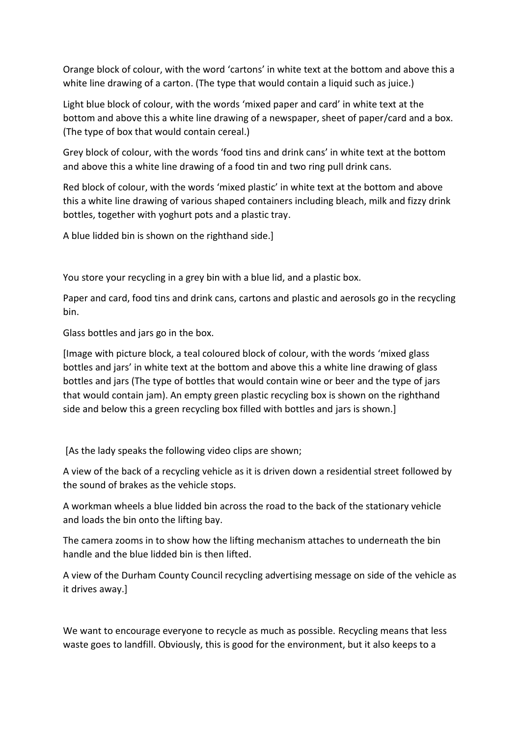Orange block of colour, with the word 'cartons' in white text at the bottom and above this a white line drawing of a carton. (The type that would contain a liquid such as juice.)

Light blue block of colour, with the words 'mixed paper and card' in white text at the bottom and above this a white line drawing of a newspaper, sheet of paper/card and a box. (The type of box that would contain cereal.)

Grey block of colour, with the words 'food tins and drink cans' in white text at the bottom and above this a white line drawing of a food tin and two ring pull drink cans.

Red block of colour, with the words 'mixed plastic' in white text at the bottom and above this a white line drawing of various shaped containers including bleach, milk and fizzy drink bottles, together with yoghurt pots and a plastic tray.

A blue lidded bin is shown on the righthand side.]

You store your recycling in a grey bin with a blue lid, and a plastic box.

Paper and card, food tins and drink cans, cartons and plastic and aerosols go in the recycling bin.

Glass bottles and jars go in the box.

[Image with picture block, a teal coloured block of colour, with the words 'mixed glass bottles and jars' in white text at the bottom and above this a white line drawing of glass bottles and jars (The type of bottles that would contain wine or beer and the type of jars that would contain jam). An empty green plastic recycling box is shown on the righthand side and below this a green recycling box filled with bottles and jars is shown.]

[As the lady speaks the following video clips are shown;

A view of the back of a recycling vehicle as it is driven down a residential street followed by the sound of brakes as the vehicle stops.

A workman wheels a blue lidded bin across the road to the back of the stationary vehicle and loads the bin onto the lifting bay.

The camera zooms in to show how the lifting mechanism attaches to underneath the bin handle and the blue lidded bin is then lifted.

A view of the Durham County Council recycling advertising message on side of the vehicle as it drives away.]

We want to encourage everyone to recycle as much as possible. Recycling means that less waste goes to landfill. Obviously, this is good for the environment, but it also keeps to a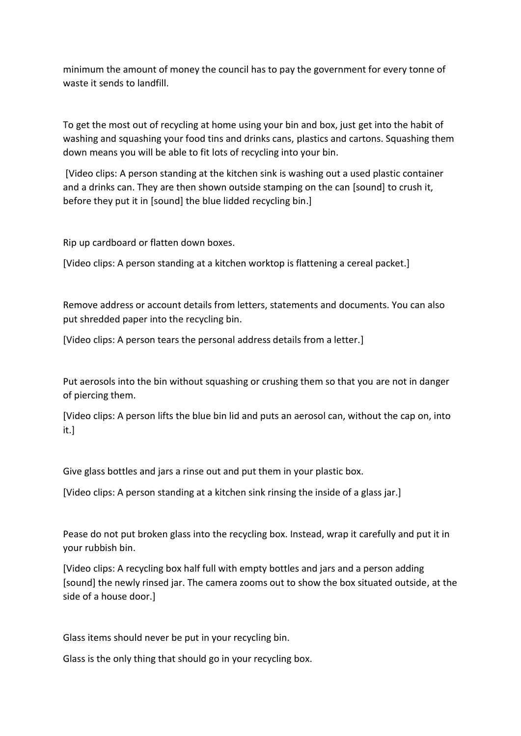minimum the amount of money the council has to pay the government for every tonne of waste it sends to landfill.

To get the most out of recycling at home using your bin and box, just get into the habit of washing and squashing your food tins and drinks cans, plastics and cartons. Squashing them down means you will be able to fit lots of recycling into your bin.

[Video clips: A person standing at the kitchen sink is washing out a used plastic container and a drinks can. They are then shown outside stamping on the can [sound] to crush it, before they put it in [sound] the blue lidded recycling bin.]

Rip up cardboard or flatten down boxes.

[Video clips: A person standing at a kitchen worktop is flattening a cereal packet.]

Remove address or account details from letters, statements and documents. You can also put shredded paper into the recycling bin.

[Video clips: A person tears the personal address details from a letter.]

Put aerosols into the bin without squashing or crushing them so that you are not in danger of piercing them.

[Video clips: A person lifts the blue bin lid and puts an aerosol can, without the cap on, into it.]

Give glass bottles and jars a rinse out and put them in your plastic box.

[Video clips: A person standing at a kitchen sink rinsing the inside of a glass jar.]

Pease do not put broken glass into the recycling box. Instead, wrap it carefully and put it in your rubbish bin.

[Video clips: A recycling box half full with empty bottles and jars and a person adding [sound] the newly rinsed jar. The camera zooms out to show the box situated outside, at the side of a house door.]

Glass items should never be put in your recycling bin.

Glass is the only thing that should go in your recycling box.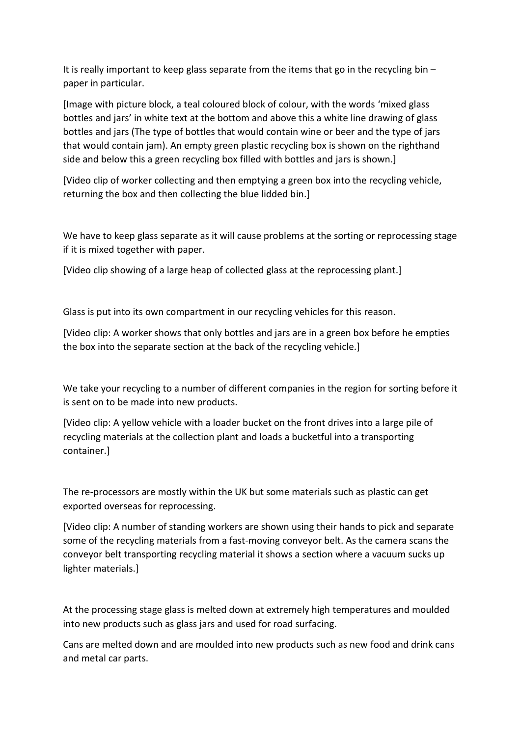It is really important to keep glass separate from the items that go in the recycling bin – paper in particular.

[Image with picture block, a teal coloured block of colour, with the words 'mixed glass bottles and jars' in white text at the bottom and above this a white line drawing of glass bottles and jars (The type of bottles that would contain wine or beer and the type of jars that would contain jam). An empty green plastic recycling box is shown on the righthand side and below this a green recycling box filled with bottles and jars is shown.]

[Video clip of worker collecting and then emptying a green box into the recycling vehicle, returning the box and then collecting the blue lidded bin.]

We have to keep glass separate as it will cause problems at the sorting or reprocessing stage if it is mixed together with paper.

[Video clip showing of a large heap of collected glass at the reprocessing plant.]

Glass is put into its own compartment in our recycling vehicles for this reason.

[Video clip: A worker shows that only bottles and jars are in a green box before he empties the box into the separate section at the back of the recycling vehicle.]

We take your recycling to a number of different companies in the region for sorting before it is sent on to be made into new products.

[Video clip: A yellow vehicle with a loader bucket on the front drives into a large pile of recycling materials at the collection plant and loads a bucketful into a transporting container.]

The re-processors are mostly within the UK but some materials such as plastic can get exported overseas for reprocessing.

[Video clip: A number of standing workers are shown using their hands to pick and separate some of the recycling materials from a fast-moving conveyor belt. As the camera scans the conveyor belt transporting recycling material it shows a section where a vacuum sucks up lighter materials.]

At the processing stage glass is melted down at extremely high temperatures and moulded into new products such as glass jars and used for road surfacing.

Cans are melted down and are moulded into new products such as new food and drink cans and metal car parts.